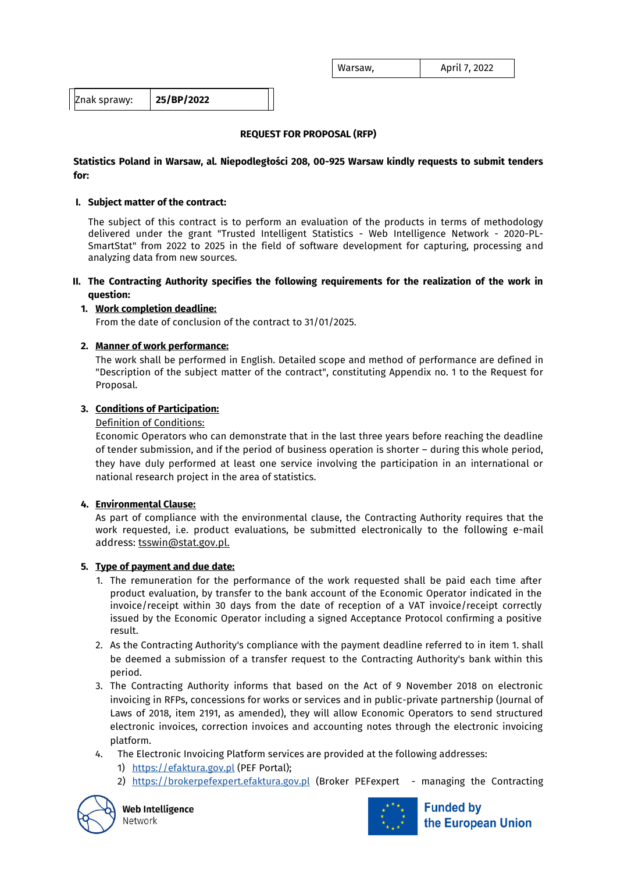| Warsaw, | April 7, 2022 |
|---------|---------------|
|---------|---------------|

Znak sprawy: **25/BP/2022**

# **REQUEST FOR PROPOSAL (RFP)**

## **Statistics Poland in Warsaw, al. Niepodległości 208, 00-925 Warsaw kindly requests to submit tenders for:**

#### **I. Subject matter of the contract:**

The subject of this contract is to perform an evaluation of the products in terms of methodology delivered under the grant "Trusted Intelligent Statistics - Web Intelligence Network - 2020-PL-SmartStat" from 2022 to 2025 in the field of software development for capturing, processing and analyzing data from new sources.

**II. The Contracting Authority specifies the following requirements for the realization of the work in question:**

## **1. Work completion deadline:**

From the date of conclusion of the contract to 31/01/2025.

## **2. Manner of work performance:**

The work shall be performed in English. Detailed scope and method of performance are defined in "Description of the subject matter of the contract", constituting Appendix no. 1 to the Request for Proposal.

## **3. Conditions of Participation:**

#### Definition of Conditions:

Economic Operators who can demonstrate that in the last three years before reaching the deadline of tender submission, and if the period of business operation is shorter – during this whole period, they have duly performed at least one service involving the participation in an international or national research project in the area of statistics.

## **4. Environmental Clause:**

As part of compliance with the environmental clause, the Contracting Authority requires that the work requested, i.e. product evaluations, be submitted electronically to the following e-mail address: [tsswin@stat.gov.pl.](mailto:tsswin@stat.gov.pl)

## **5. Type of payment and due date:**

- 1. The remuneration for the performance of the work requested shall be paid each time after product evaluation, by transfer to the bank account of the Economic Operator indicated in the invoice/receipt within 30 days from the date of reception of a VAT invoice/receipt correctly issued by the Economic Operator including a signed Acceptance Protocol confirming a positive result.
- 2. As the Contracting Authority's compliance with the payment deadline referred to in item 1. shall be deemed a submission of a transfer request to the Contracting Authority's bank within this period.
- 3. The Contracting Authority informs that based on the Act of 9 November 2018 on electronic invoicing in RFPs, concessions for works or services and in public-private partnership (Journal of Laws of 2018, item 2191, as amended), they will allow Economic Operators to send structured electronic invoices, correction invoices and accounting notes through the electronic invoicing platform.
- 4. The Electronic Invoicing Platform services are provided at the following addresses:
	- 1) https://efaktura.gov.pl (PEF Portal);
	- 2) https://brokerpefexpert.efaktura.gov.pl (Broker PEFexpert managing the Contracting



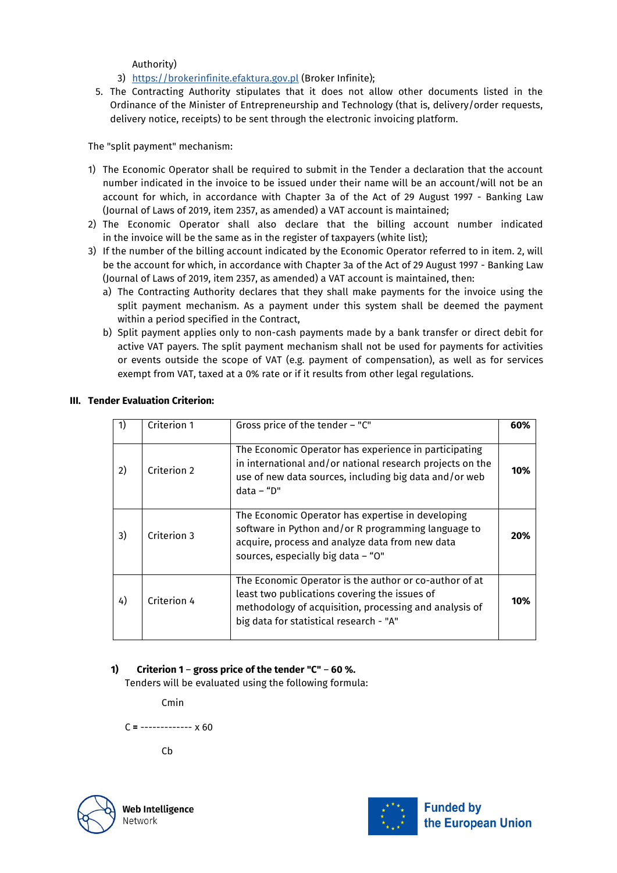Authority)

- 3) https://brokerinfinite.efaktura.gov.pl (Broker Infinite);
- 5. The Contracting Authority stipulates that it does not allow other documents listed in the Ordinance of the Minister of Entrepreneurship and Technology (that is, delivery/order requests, delivery notice, receipts) to be sent through the electronic invoicing platform.

The "split payment" mechanism:

- 1) The Economic Operator shall be required to submit in the Tender a declaration that the account number indicated in the invoice to be issued under their name will be an account/will not be an account for which, in accordance with Chapter 3a of the Act of 29 August 1997 - Banking Law (Journal of Laws of 2019, item 2357, as amended) a VAT account is maintained;
- 2) The Economic Operator shall also declare that the billing account number indicated in the invoice will be the same as in the register of taxpayers (white list);
- 3) If the number of the billing account indicated by the Economic Operator referred to in item. 2, will be the account for which, in accordance with Chapter 3a of the Act of 29 August 1997 - Banking Law (Journal of Laws of 2019, item 2357, as amended) a VAT account is maintained, then:
	- a) The Contracting Authority declares that they shall make payments for the invoice using the split payment mechanism. As a payment under this system shall be deemed the payment within a period specified in the Contract,
	- b) Split payment applies only to non-cash payments made by a bank transfer or direct debit for active VAT payers. The split payment mechanism shall not be used for payments for activities or events outside the scope of VAT (e.g. payment of compensation), as well as for services exempt from VAT, taxed at a 0% rate or if it results from other legal regulations.

|    | Criterion 1 | Gross price of the tender - "C"                                                                                                                                                                              | 60% |
|----|-------------|--------------------------------------------------------------------------------------------------------------------------------------------------------------------------------------------------------------|-----|
| 2) | Criterion 2 | The Economic Operator has experience in participating<br>in international and/or national research projects on the<br>use of new data sources, including big data and/or web<br>$data - "D"$                 | 10% |
| 3) | Criterion 3 | The Economic Operator has expertise in developing<br>software in Python and/or R programming language to<br>acquire, process and analyze data from new data<br>sources, especially big data - "O"            | 20% |
| 4) | Criterion 4 | The Economic Operator is the author or co-author of at<br>least two publications covering the issues of<br>methodology of acquisition, processing and analysis of<br>big data for statistical research - "A" | 10% |

# **III. Tender Evaluation Criterion:**

# **1) Criterion 1** – **gross price of the tender "C"** – **60 %.**

Tenders will be evaluated using the following formula:

Cmin

C **=** ------------- x 60

Cb



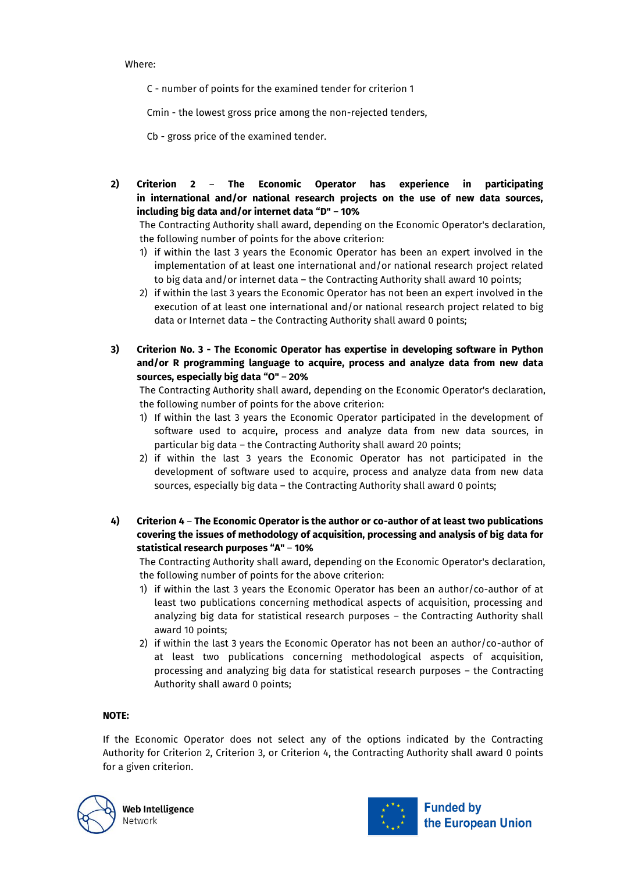#### Where:

C - number of points for the examined tender for criterion 1

Cmin - the lowest gross price among the non-rejected tenders,

Cb - gross price of the examined tender.

**2) Criterion 2** – **The Economic Operator has experience in participating in international and/or national research projects on the use of new data sources, including big data and/or internet data "D"** – **10%**

The Contracting Authority shall award, depending on the Economic Operator's declaration, the following number of points for the above criterion:

- 1) if within the last 3 years the Economic Operator has been an expert involved in the implementation of at least one international and/or national research project related to big data and/or internet data – the Contracting Authority shall award 10 points;
- 2) if within the last 3 years the Economic Operator has not been an expert involved in the execution of at least one international and/or national research project related to big data or Internet data – the Contracting Authority shall award 0 points;
- **3) Criterion No. 3 - The Economic Operator has expertise in developing software in Python and/or R programming language to acquire, process and analyze data from new data sources, especially big data "O"** – **20%**

The Contracting Authority shall award, depending on the Economic Operator's declaration, the following number of points for the above criterion:

- 1) If within the last 3 years the Economic Operator participated in the development of software used to acquire, process and analyze data from new data sources, in particular big data – the Contracting Authority shall award 20 points;
- 2) if within the last 3 years the Economic Operator has not participated in the development of software used to acquire, process and analyze data from new data sources, especially big data – the Contracting Authority shall award 0 points;
- **4) Criterion 4 The Economic Operator is the author or co-author of at least two publications covering the issues of methodology of acquisition, processing and analysis of big data for statistical research purposes "A"** – **10%**

The Contracting Authority shall award, depending on the Economic Operator's declaration, the following number of points for the above criterion:

- 1) if within the last 3 years the Economic Operator has been an author/co-author of at least two publications concerning methodical aspects of acquisition, processing and analyzing big data for statistical research purposes – the Contracting Authority shall award 10 points;
- 2) if within the last 3 years the Economic Operator has not been an author/co-author of at least two publications concerning methodological aspects of acquisition, processing and analyzing big data for statistical research purposes – the Contracting Authority shall award 0 points;

## **NOTE:**

If the Economic Operator does not select any of the options indicated by the Contracting Authority for Criterion 2, Criterion 3, or Criterion 4, the Contracting Authority shall award 0 points for a given criterion.



**Web Intelligence** Network

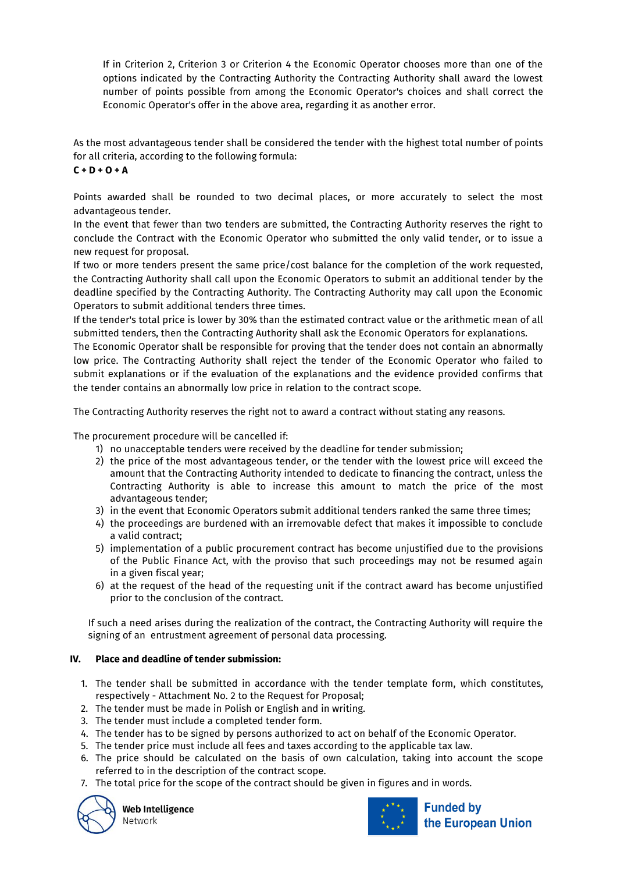If in Criterion 2, Criterion 3 or Criterion 4 the Economic Operator chooses more than one of the options indicated by the Contracting Authority the Contracting Authority shall award the lowest number of points possible from among the Economic Operator's choices and shall correct the Economic Operator's offer in the above area, regarding it as another error.

As the most advantageous tender shall be considered the tender with the highest total number of points for all criteria, according to the following formula:

**C + D + O + A**

Points awarded shall be rounded to two decimal places, or more accurately to select the most advantageous tender.

In the event that fewer than two tenders are submitted, the Contracting Authority reserves the right to conclude the Contract with the Economic Operator who submitted the only valid tender, or to issue a new request for proposal.

If two or more tenders present the same price/cost balance for the completion of the work requested, the Contracting Authority shall call upon the Economic Operators to submit an additional tender by the deadline specified by the Contracting Authority. The Contracting Authority may call upon the Economic Operators to submit additional tenders three times.

If the tender's total price is lower by 30% than the estimated contract value or the arithmetic mean of all submitted tenders, then the Contracting Authority shall ask the Economic Operators for explanations.

The Economic Operator shall be responsible for proving that the tender does not contain an abnormally low price. The Contracting Authority shall reject the tender of the Economic Operator who failed to submit explanations or if the evaluation of the explanations and the evidence provided confirms that the tender contains an abnormally low price in relation to the contract scope.

The Contracting Authority reserves the right not to award a contract without stating any reasons.

The procurement procedure will be cancelled if:

- 1) no unacceptable tenders were received by the deadline for tender submission;
- 2) the price of the most advantageous tender, or the tender with the lowest price will exceed the amount that the Contracting Authority intended to dedicate to financing the contract, unless the Contracting Authority is able to increase this amount to match the price of the most advantageous tender;
- 3) in the event that Economic Operators submit additional tenders ranked the same three times;
- 4) the proceedings are burdened with an irremovable defect that makes it impossible to conclude a valid contract;
- 5) implementation of a public procurement contract has become unjustified due to the provisions of the Public Finance Act, with the proviso that such proceedings may not be resumed again in a given fiscal year;
- 6) at the request of the head of the requesting unit if the contract award has become unjustified prior to the conclusion of the contract.

If such a need arises during the realization of the contract, the Contracting Authority will require the signing of an entrustment agreement of personal data processing.

# **IV. Place and deadline of tender submission:**

- 1. The tender shall be submitted in accordance with the tender template form, which constitutes, respectively - Attachment No. 2 to the Request for Proposal;
- 2. The tender must be made in Polish or English and in writing.
- 3. The tender must include a completed tender form.
- 4. The tender has to be signed by persons authorized to act on behalf of the Economic Operator.
- 5. The tender price must include all fees and taxes according to the applicable tax law.
- 6. The price should be calculated on the basis of own calculation, taking into account the scope referred to in the description of the contract scope.
- 7. The total price for the scope of the contract should be given in figures and in words.



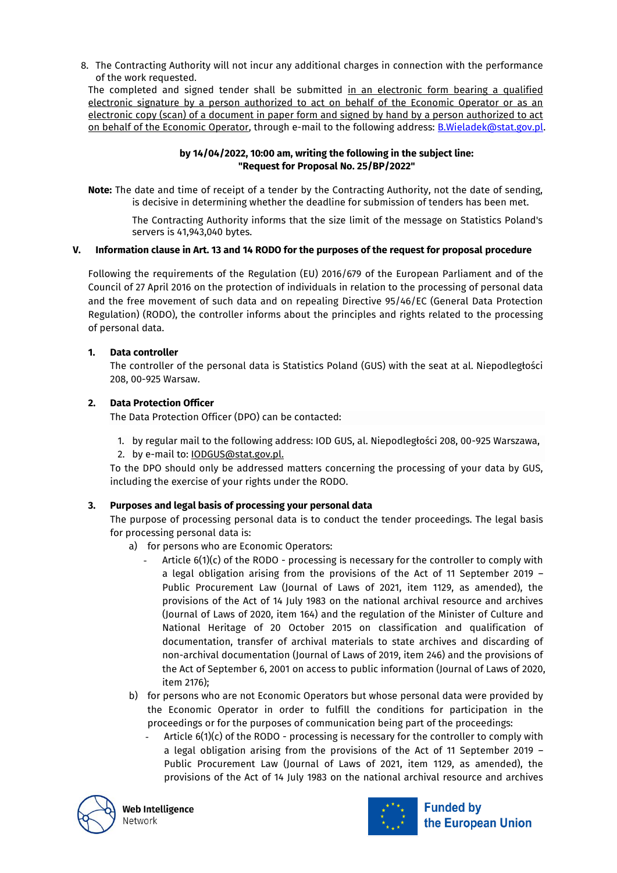8. The Contracting Authority will not incur any additional charges in connection with the performance of the work requested.

The completed and signed tender shall be submitted in an electronic form bearing a qualified electronic signature by a person authorized to act on behalf of the Economic Operator or as an electronic copy (scan) of a document in paper form and signed by hand by a person authorized to act on behalf of the Economic Operator, through e-mail to the following address: B.Wieladek@stat.gov.pl.

# **by 14/04/2022, 10:00 am, writing the following in the subject line: "Request for Proposal No. 25/BP/2022"**

**Note:** The date and time of receipt of a tender by the Contracting Authority, not the date of sending, is decisive in determining whether the deadline for submission of tenders has been met.

The Contracting Authority informs that the size limit of the message on Statistics Poland's servers is 41,943,040 bytes.

## **V. Information clause in Art. 13 and 14 RODO for the purposes of the request for proposal procedure**

Following the requirements of the Regulation (EU) 2016/679 of the European Parliament and of the Council of 27 April 2016 on the protection of individuals in relation to the processing of personal data and the free movement of such data and on repealing Directive 95/46/EC (General Data Protection Regulation) (RODO), the controller informs about the principles and rights related to the processing of personal data.

# **1. Data controller**

The controller of the personal data is Statistics Poland (GUS) with the seat at al. Niepodległości 208, 00-925 Warsaw.

# **2. Data Protection Officer**

The Data Protection Officer (DPO) can be contacted:

1. by regular mail to the following address: IOD GUS, al. Niepodległości 208, 00-925 Warszawa, 2. by e-mail to: [IODGUS@stat.gov.pl.](mailto:IODGUS@stat.gov.pl)

To the DPO should only be addressed matters concerning the processing of your data by GUS, including the exercise of your rights under the RODO.

## **3. Purposes and legal basis of processing your personal data**

The purpose of processing personal data is to conduct the tender proceedings. The legal basis for processing personal data is:

- a) for persons who are Economic Operators:
	- Article  $6(1)(c)$  of the RODO processing is necessary for the controller to comply with a legal obligation arising from the provisions of the Act of 11 September 2019 – Public Procurement Law (Journal of Laws of 2021, item 1129, as amended), the provisions of the Act of 14 July 1983 on the national archival resource and archives (Journal of Laws of 2020, item 164) and the regulation of the Minister of Culture and National Heritage of 20 October 2015 on classification and qualification of documentation, transfer of archival materials to state archives and discarding of non-archival documentation (Journal of Laws of 2019, item 246) and the provisions of the Act of September 6, 2001 on access to public information (Journal of Laws of 2020, item 2176);
- b) for persons who are not Economic Operators but whose personal data were provided by the Economic Operator in order to fulfill the conditions for participation in the proceedings or for the purposes of communication being part of the proceedings:
	- Article 6(1)(c) of the RODO processing is necessary for the controller to comply with a legal obligation arising from the provisions of the Act of 11 September 2019 – Public Procurement Law (Journal of Laws of 2021, item 1129, as amended), the provisions of the Act of 14 July 1983 on the national archival resource and archives



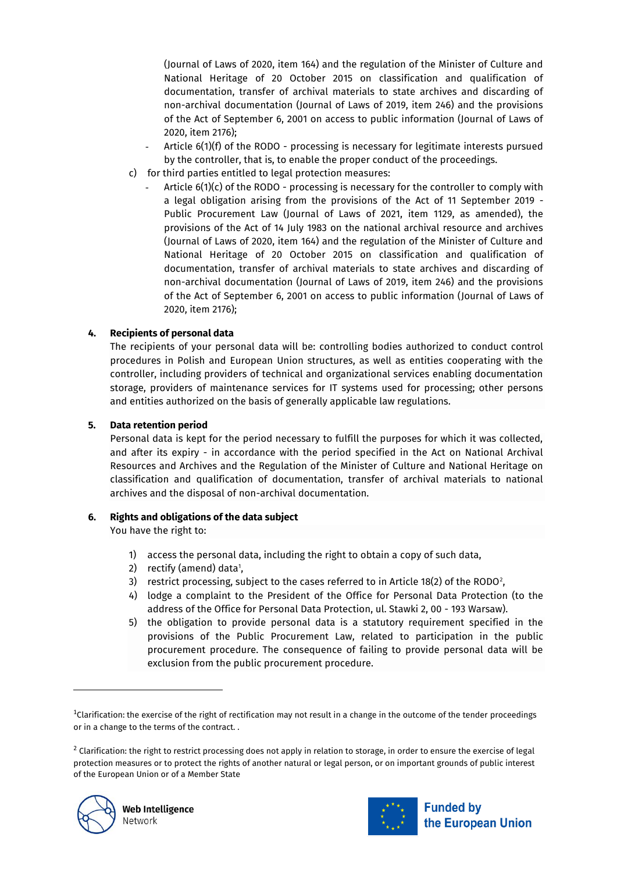(Journal of Laws of 2020, item 164) and the regulation of the Minister of Culture and National Heritage of 20 October 2015 on classification and qualification of documentation, transfer of archival materials to state archives and discarding of non-archival documentation (Journal of Laws of 2019, item 246) and the provisions of the Act of September 6, 2001 on access to public information (Journal of Laws of 2020, item 2176);

- Article 6(1)(f) of the RODO processing is necessary for legitimate interests pursued by the controller, that is, to enable the proper conduct of the proceedings.
- c) for third parties entitled to legal protection measures:
	- Article  $6(1)(c)$  of the RODO processing is necessary for the controller to comply with a legal obligation arising from the provisions of the Act of 11 September 2019 - Public Procurement Law (Journal of Laws of 2021, item 1129, as amended), the provisions of the Act of 14 July 1983 on the national archival resource and archives (Journal of Laws of 2020, item 164) and the regulation of the Minister of Culture and National Heritage of 20 October 2015 on classification and qualification of documentation, transfer of archival materials to state archives and discarding of non-archival documentation (Journal of Laws of 2019, item 246) and the provisions of the Act of September 6, 2001 on access to public information (Journal of Laws of 2020, item 2176);

# **4. Recipients of personal data**

The recipients of your personal data will be: controlling bodies authorized to conduct control procedures in Polish and European Union structures, as well as entities cooperating with the controller, including providers of technical and organizational services enabling documentation storage, providers of maintenance services for IT systems used for processing; other persons and entities authorized on the basis of generally applicable law regulations.

# **5. Data retention period**

Personal data is kept for the period necessary to fulfill the purposes for which it was collected, and after its expiry - in accordance with the period specified in the Act on National Archival Resources and Archives and the Regulation of the Minister of Culture and National Heritage on classification and qualification of documentation, transfer of archival materials to national archives and the disposal of non-archival documentation.

# **6. Rights and obligations of the data subject**

You have the right to:

- 1) access the personal data, including the right to obtain a copy of such data,
- 2) rectify (amend) data<sup>1</sup>,
- 3)  $\;$  restrict processing, subject to the cases referred to in Article 18(2) of the RODO $^2$ ,
- 4) lodge a complaint to the President of the Office for Personal Data Protection (to the address of the Office for Personal Data Protection, ul. Stawki 2, 00 - 193 Warsaw).
- 5) the obligation to provide personal data is a statutory requirement specified in the provisions of the Public Procurement Law, related to participation in the public procurement procedure. The consequence of failing to provide personal data will be exclusion from the public procurement procedure.

 $^2$  Clarification: the right to restrict processing does not apply in relation to storage, in order to ensure the exercise of legal protection measures or to protect the rights of another natural or legal person, or on important grounds of public interest of the European Union or of a Member State



 $\overline{a}$ 



 $^4$ Clarification: the exercise of the right of rectification may not result in a change in the outcome of the tender proceedings or in a change to the terms of the contract. .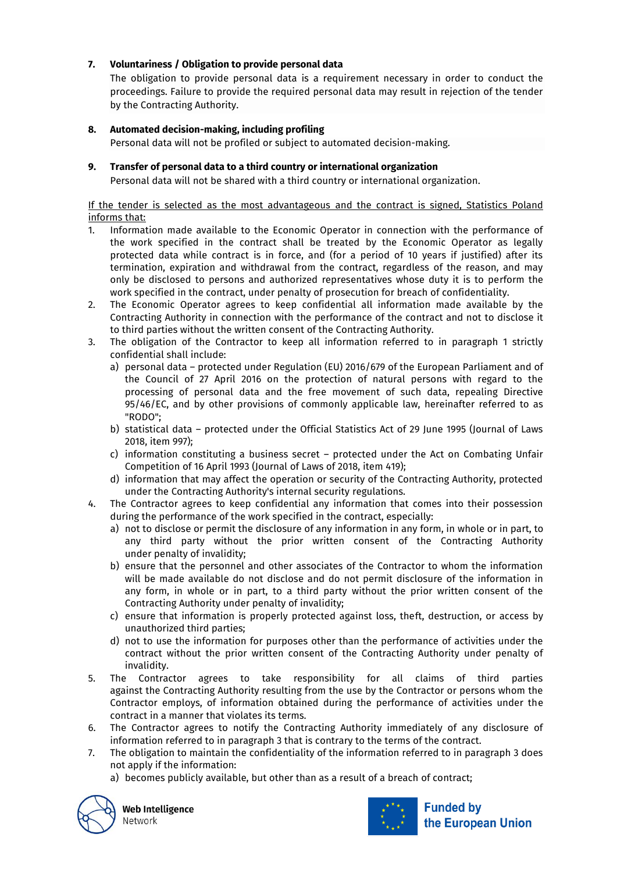# **7. Voluntariness / Obligation to provide personal data**

The obligation to provide personal data is a requirement necessary in order to conduct the proceedings. Failure to provide the required personal data may result in rejection of the tender by the Contracting Authority.

# **8. Automated decision-making, including profiling**

Personal data will not be profiled or subject to automated decision-making.

## **9. Transfer of personal data to a third country or international organization**

Personal data will not be shared with a third country or international organization.

#### If the tender is selected as the most advantageous and the contract is signed, Statistics Poland informs that:

- 1. Information made available to the Economic Operator in connection with the performance of the work specified in the contract shall be treated by the Economic Operator as legally protected data while contract is in force, and (for a period of 10 years if justified) after its termination, expiration and withdrawal from the contract, regardless of the reason, and may only be disclosed to persons and authorized representatives whose duty it is to perform the work specified in the contract, under penalty of prosecution for breach of confidentiality.
- 2. The Economic Operator agrees to keep confidential all information made available by the Contracting Authority in connection with the performance of the contract and not to disclose it to third parties without the written consent of the Contracting Authority.
- 3. The obligation of the Contractor to keep all information referred to in paragraph 1 strictly confidential shall include:
	- a) personal data protected under Regulation (EU) 2016/679 of the European Parliament and of the Council of 27 April 2016 on the protection of natural persons with regard to the processing of personal data and the free movement of such data, repealing Directive 95/46/EC, and by other provisions of commonly applicable law, hereinafter referred to as "RODO";
	- b) statistical data protected under the Official Statistics Act of 29 June 1995 (Journal of Laws 2018, item 997);
	- c) information constituting a business secret protected under the Act on Combating Unfair Competition of 16 April 1993 (Journal of Laws of 2018, item 419);
	- d) information that may affect the operation or security of the Contracting Authority, protected under the Contracting Authority's internal security regulations.
- 4. The Contractor agrees to keep confidential any information that comes into their possession during the performance of the work specified in the contract, especially:
	- a) not to disclose or permit the disclosure of any information in any form, in whole or in part, to any third party without the prior written consent of the Contracting Authority under penalty of invalidity;
	- b) ensure that the personnel and other associates of the Contractor to whom the information will be made available do not disclose and do not permit disclosure of the information in any form, in whole or in part, to a third party without the prior written consent of the Contracting Authority under penalty of invalidity;
	- c) ensure that information is properly protected against loss, theft, destruction, or access by unauthorized third parties;
	- d) not to use the information for purposes other than the performance of activities under the contract without the prior written consent of the Contracting Authority under penalty of invalidity.
- 5. The Contractor agrees to take responsibility for all claims of third parties against the Contracting Authority resulting from the use by the Contractor or persons whom the Contractor employs, of information obtained during the performance of activities under the contract in a manner that violates its terms.
- 6. The Contractor agrees to notify the Contracting Authority immediately of any disclosure of information referred to in paragraph 3 that is contrary to the terms of the contract.
- 7. The obligation to maintain the confidentiality of the information referred to in paragraph 3 does not apply if the information:
	- a) becomes publicly available, but other than as a result of a breach of contract;



Web Intelligence Network